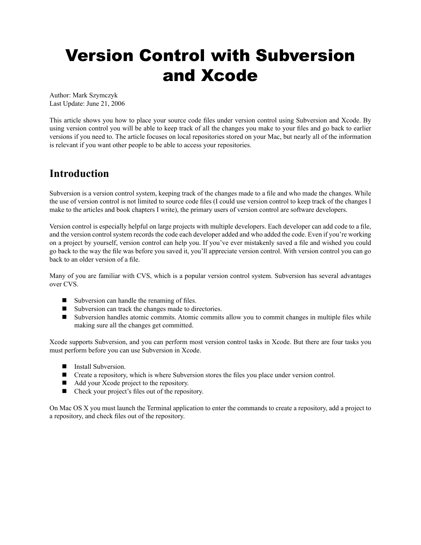# Version Control with Subversion and Xcode

Author: Mark Szymczyk Last Update: June 21, 2006

This article shows you how to place your source code files under version control using Subversion and Xcode. By using version control you will be able to keep track of all the changes you make to your files and go back to earlier versions if you need to. The article focuses on local repositories stored on your Mac, but nearly all of the information is relevant if you want other people to be able to access your repositories.

# **Introduction**

Subversion is a version control system, keeping track of the changes made to a file and who made the changes. While the use of version control is not limited to source code files (I could use version control to keep track of the changes I make to the articles and book chapters I write), the primary users of version control are software developers.

Version control is especially helpful on large projects with multiple developers. Each developer can add code to a file, and the version control system records the code each developer added and who added the code. Even if you're working on a project by yourself, version control can help you. If you've ever mistakenly saved a file and wished you could go back to the way the file was before you saved it, you'll appreciate version control. With version control you can go back to an older version of a file.

Many of you are familiar with CVS, which is a popular version control system. Subversion has several advantages over CVS.

- $\blacksquare$  Subversion can handle the renaming of files.
- Subversion can track the changes made to directories.
- Subversion handles atomic commits. Atomic commits allow you to commit changes in multiple files while making sure all the changes get committed.

Xcode supports Subversion, and you can perform most version control tasks in Xcode. But there are four tasks you must perform before you can use Subversion in Xcode.

- **n** Install Subversion.
- Create a repository, which is where Subversion stores the files you place under version control.
- Add your Xcode project to the repository.
- Check your project's files out of the repository.

On Mac OS X you must launch the Terminal application to enter the commands to create a repository, add a project to a repository, and check files out of the repository.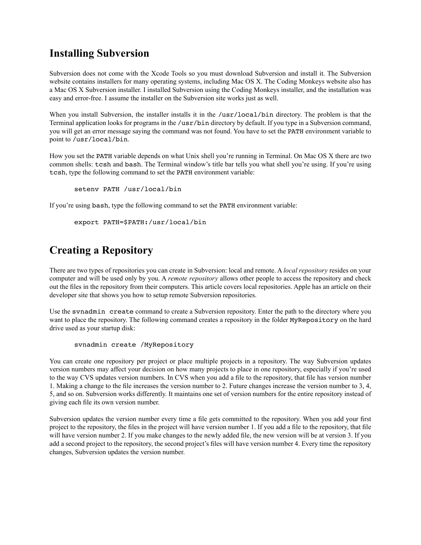# **Installing Subversion**

Subversion does not come with the Xcode Tools so you must download Subversion and install it. The Subversion website contains installers for many operating systems, including Mac OS X. The Coding Monkeys website also has a Mac OS X Subversion installer. I installed Subversion using the Coding Monkeys installer, and the installation was easy and error-free. I assume the installer on the Subversion site works just as well.

When you install Subversion, the installer installs it in the /usr/local/bin directory. The problem is that the Terminal application looks for programs in the /usr/bin directory by default. If you type in a Subversion command, you will get an error message saying the command was not found. You have to set the PATH environment variable to point to /usr/local/bin.

How you set the PATH variable depends on what Unix shell you're running in Terminal. On Mac OS X there are two common shells: tcsh and bash. The Terminal window's title bar tells you what shell you're using. If you're using tcsh, type the following command to set the PATH environment variable:

```
setenv PATH /usr/local/bin
```
If you're using bash, type the following command to set the PATH environment variable:

```
export PATH=$PATH:/usr/local/bin
```
# **Creating a Repository**

There are two types of repositories you can create in Subversion: local and remote. A *local repository* resides on your computer and will be used only by you. A *remote repository* allows other people to access the repository and check out the files in the repository from their computers. This article covers local repositories. Apple has an article on their developer site that shows you how to setup remote Subversion repositories.

Use the svnadmin create command to create a Subversion repository. Enter the path to the directory where you want to place the repository. The following command creates a repository in the folder MyRepository on the hard drive used as your startup disk:

svnadmin create /MyRepository

You can create one repository per project or place multiple projects in a repository. The way Subversion updates version numbers may affect your decision on how many projects to place in one repository, especially if you're used to the way CVS updates version numbers. In CVS when you add a file to the repository, that file has version number 1. Making a change to the file increases the version number to 2. Future changes increase the version number to 3, 4, 5, and so on. Subversion works differently. It maintains one set of version numbers for the entire repository instead of giving each file its own version number.

Subversion updates the version number every time a file gets committed to the repository. When you add your first project to the repository, the files in the project will have version number 1. If you add a file to the repository, that file will have version number 2. If you make changes to the newly added file, the new version will be at version 3. If you add a second project to the repository, the second project's files will have version number 4. Every time the repository changes, Subversion updates the version number.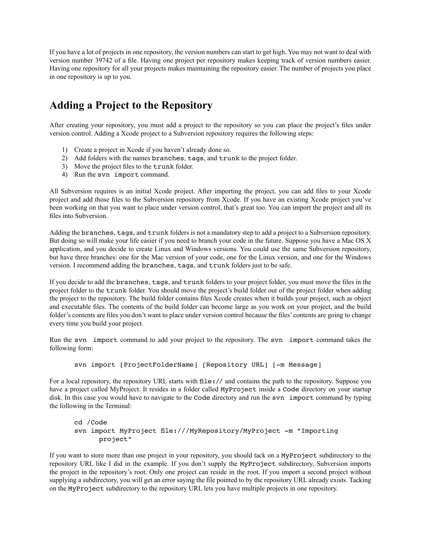If you have a lot of projects in one repository, the version numbers can start to get high. You may not want to deal with version number 39742 of a file. Having one project per repository makes keeping track of version numbers easier. Having one repository for all your projects makes maintaining the repository easier. The number of projects you place in one repository is up to you.

### **Adding a Project to the Repository**

After creating your repository, you must add a project to the repository so you can place the project's files under version control. Adding a Xcode project to a Subversion repository requires the following steps:

- 1) Create a project in Xcode if you haven't already done so.
- 2) Add folders with the names branches, tags, and trunk to the project folder.
- 3) Move the project files to the trunk folder.
- 4) Run the svn import command.

All Subversion requires is an initial Xcode project. After importing the project, you can add files to your Xcode project and add those files to the Subversion repository from Xcode. If you have an existing Xcode project you've been working on that you want to place under version control, that's great too. You can import the project and all its files into Subversion.

Adding the branches, tags, and trunk folders is not a mandatory step to add a project to a Subversion repository. But doing so will make your life easier if you need to branch your code in the future. Suppose you have a Mac OS X application, and you decide to create Linux and Windows versions. You could use the same Subversion repository, but have three branches: one for the Mac version of your code, one for the Linux version, and one for the Windows version. I recommend adding the branches, tags, and trunk folders just to be safe.

If you decide to add the branches, tags, and trunk folders to your project folder, you must move the files in the project folder to the trunk folder. You should move the project's build folder out of the project folder when adding the project to the repository. The build folder contains files Xcode creates when it builds your project, such as object and executable files. The contents of the build folder can become large as you work on your project, and the build folder's contents are files you don't want to place under version control because the files' contents are going to change every time you build your project.

Run the svn import command to add your project to the repository. The svn import command takes the following form:

```
svn import [ProjectFolderName] [Repository URL] [-m Message]
```
For a local repository, the repository URL starts with file:// and contains the path to the repository. Suppose you have a project called MyProject. It resides in a folder called MyProject inside a Code directory on your startup disk. In this case you would have to navigate to the Code directory and run the svn import command by typing the following in the Terminal:

```
cd /Code
svn import MyProject file:///MyRepository/MyProject -m "Importing
       project"
```
If you want to store more than one project in your repository, you should tack on a MyProject subdirectory to the repository URL like I did in the example. If you don't supply the MyProject subdirectory, Subversion imports the project in the repository's root. Only one project can reside in the root. If you import a second project without supplying a subdirectory, you will get an error saying the file pointed to by the repository URL already exists. Tacking on the MyProject subdirectory to the repository URL lets you have multiple projects in one repository.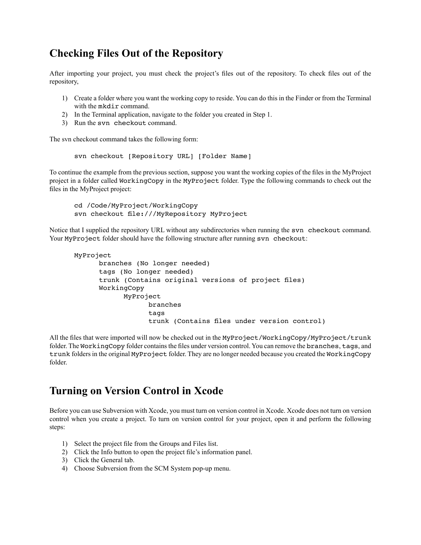### **Checking Files Out of the Repository**

After importing your project, you must check the project's files out of the repository. To check files out of the repository,

- 1) Create a folder where you want the working copy to reside. You can do this in the Finder or from the Terminal with the mkdir command.
- 2) In the Terminal application, navigate to the folder you created in Step 1.
- 3) Run the svn checkout command.

The svn checkout command takes the following form:

svn checkout [Repository URL] [Folder Name]

To continue the example from the previous section, suppose you want the working copies of the files in the MyProject project in a folder called WorkingCopy in the MyProject folder. Type the following commands to check out the files in the MyProject project:

cd /Code/MyProject/WorkingCopy svn checkout file:///MyRepository MyProject

Notice that I supplied the repository URL without any subdirectories when running the svn checkout command. Your MyProject folder should have the following structure after running syn checkout:

```
MyProject
       branches (No longer needed)
       tags (No longer needed)
       trunk (Contains original versions of project files)
       WorkingCopy
             MyProject
                    branches
                    tags
                    trunk (Contains files under version control)
```
All the files that were imported will now be checked out in the MyProject/WorkingCopy/MyProject/trunk folder. The WorkingCopy folder contains the files under version control. You can remove the branches, tags, and trunk folders in the original MyProject folder. They are no longer needed because you created the WorkingCopy folder.

### **Turning on Version Control in Xcode**

Before you can use Subversion with Xcode, you must turn on version control in Xcode. Xcode does not turn on version control when you create a project. To turn on version control for your project, open it and perform the following steps:

- 1) Select the project file from the Groups and Files list.
- 2) Click the Info button to open the project file's information panel.
- 3) Click the General tab.
- 4) Choose Subversion from the SCM System pop-up menu.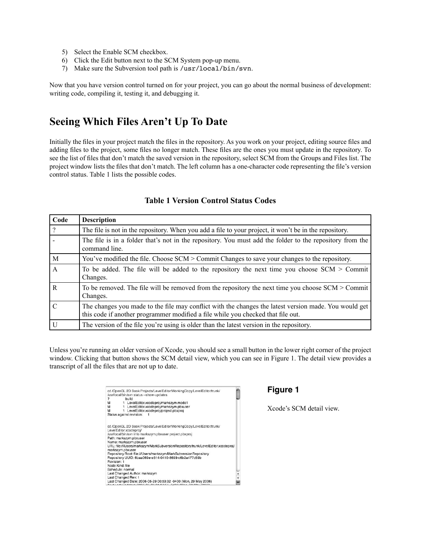- 5) Select the Enable SCM checkbox.
- 6) Click the Edit button next to the SCM System pop-up menu.
- 7) Make sure the Subversion tool path is /usr/local/bin/svn.

Now that you have version control turned on for your project, you can go about the normal business of development: writing code, compiling it, testing it, and debugging it.

### **Seeing Which Files Aren't Up To Date**

Initially the files in your project match the files in the repository. As you work on your project, editing source files and adding files to the project, some files no longer match. These files are the ones you must update in the repository. To see the list of files that don't match the saved version in the repository, select SCM from the Groups and Files list. The project window lists the files that don't match. The left column has a one-character code representing the file's version control status. Table 1 lists the possible codes.

| Code           | <b>Description</b>                                                                                                                                                                        |
|----------------|-------------------------------------------------------------------------------------------------------------------------------------------------------------------------------------------|
| $\cdot$ ?      | The file is not in the repository. When you add a file to your project, it won't be in the repository.                                                                                    |
|                | The file is in a folder that's not in the repository. You must add the folder to the repository from the<br>command line.                                                                 |
| $\mathbf{M}$   | You've modified the file. Choose SCM > Commit Changes to save your changes to the repository.                                                                                             |
| $\overline{A}$ | To be added. The file will be added to the repository the next time you choose $SCM >$ Commit<br>Changes.                                                                                 |
| $\overline{R}$ | To be removed. The file will be removed from the repository the next time you choose SCM > Commit<br>Changes.                                                                             |
| $\mathcal{C}$  | The changes you made to the file may conflict with the changes the latest version made. You would get<br>this code if another programmer modified a file while you checked that file out. |
| $\overline{U}$ | The version of the file you're using is older than the latest version in the repository.                                                                                                  |

#### **Table 1 Version Control Status Codes**

Unless you're running an older version of Xcode, you should see a small button in the lower right corner of the project window. Clicking that button shows the SCM detail view, which you can see in Figure 1. The detail view provides a transcript of all the files that are not up to date.

| cd /OpenGL 2D Book Projects/LevelEditor/WorkingCopy/LevelEditor/trunk/<br>/usr/local/bin/svn status --show-updates |   |
|--------------------------------------------------------------------------------------------------------------------|---|
| ?<br>build                                                                                                         |   |
| 1 LevelEditor.xcodeproj/markszym.mode1<br>м                                                                        |   |
| 1 LevelEditor.xcodeproj/markszym.pbxuser<br>м                                                                      |   |
| 1 LevelEditor.xcodeproi/project.pbxproj<br>м                                                                       |   |
| Status against revision:                                                                                           |   |
| cd /OpenGL 2D Book Projects/LevelEditor/WorkingCopy/LevelEditor/trunk/                                             |   |
| LevelEditor.xcodeproi/                                                                                             |   |
| /usr/local/bin/svn info markszym.pbxuser project.pbxproj                                                           |   |
| Path: markszym.pbxuser                                                                                             |   |
| Name: markszym.pbxuser                                                                                             |   |
| URL: file:///Users/markszym/MarkSubversionRepository/trunk/LevelEditor.xcodeproj/<br>markszym.pbxuser              |   |
| Repository Root: file:///Users/markszym/MarkSubversionRepository                                                   |   |
| Repository UUID: 6baa069e-e514-0410-8699-c6b2a477c59b                                                              |   |
| Revision: 1                                                                                                        |   |
| Node Kind: file                                                                                                    |   |
| Schedule: normal                                                                                                   |   |
| Last Changed Author: markszym                                                                                      |   |
| Last Changed Rev: 1                                                                                                |   |
| Last Changed Date: 2006-05-29 00:53:32 -0400 (Mon, 29 May 2006)                                                    |   |
|                                                                                                                    | E |

#### **Figure 1**

Xcode's SCM detail view.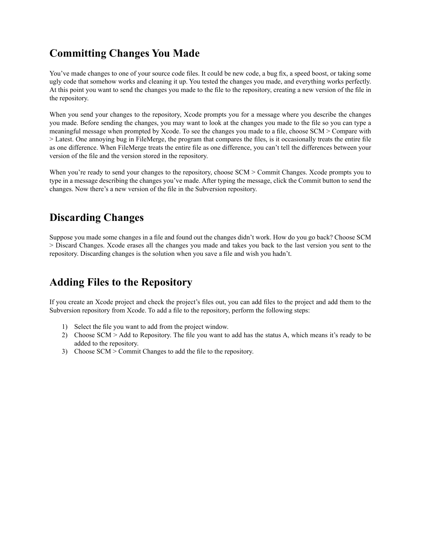# **Committing Changes You Made**

You've made changes to one of your source code files. It could be new code, a bug fix, a speed boost, or taking some ugly code that somehow works and cleaning it up. You tested the changes you made, and everything works perfectly. At this point you want to send the changes you made to the file to the repository, creating a new version of the file in the repository.

When you send your changes to the repository, Xcode prompts you for a message where you describe the changes you made. Before sending the changes, you may want to look at the changes you made to the file so you can type a meaningful message when prompted by Xcode. To see the changes you made to a file, choose SCM > Compare with > Latest. One annoying bug in FileMerge, the program that compares the files, is it occasionally treats the entire file as one difference. When FileMerge treats the entire file as one difference, you can't tell the differences between your version of the file and the version stored in the repository.

When you're ready to send your changes to the repository, choose SCM > Commit Changes. Xcode prompts you to type in a message describing the changes you've made. After typing the message, click the Commit button to send the changes. Now there's a new version of the file in the Subversion repository.

# **Discarding Changes**

Suppose you made some changes in a file and found out the changes didn't work. How do you go back? Choose SCM > Discard Changes. Xcode erases all the changes you made and takes you back to the last version you sent to the repository. Discarding changes is the solution when you save a file and wish you hadn't.

# **Adding Files to the Repository**

If you create an Xcode project and check the project's files out, you can add files to the project and add them to the Subversion repository from Xcode. To add a file to the repository, perform the following steps:

- 1) Select the file you want to add from the project window.
- 2) Choose SCM > Add to Repository. The file you want to add has the status A, which means it's ready to be added to the repository.
- 3) Choose SCM > Commit Changes to add the file to the repository.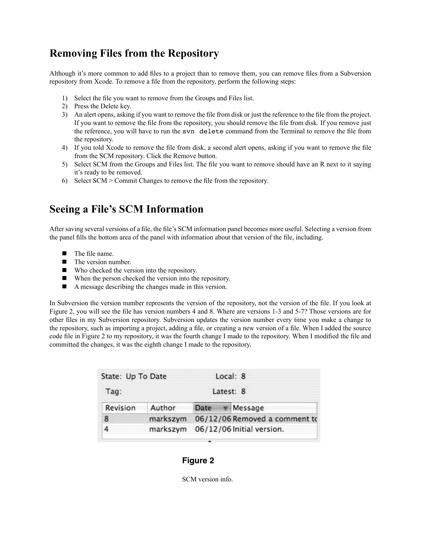# **Removing Files from the Repository**

Although it's more common to add files to a project than to remove them, you can remove files from a Subversion repository from Xcode. To remove a file from the repository, perform the following steps:

- 1) Select the file you want to remove from the Groups and Files list.
- 2) Press the Delete key.
- 3) An alert opens, asking if you want to remove the file from disk or just the reference to the file from the project. If you want to remove the file from the repository, you should remove the file from disk. If you remove just the reference, you will have to run the svn delete command from the Terminal to remove the file from the repository.
- 4) If you told Xcode to remove the file from disk, a second alert opens, asking if you want to remove the file from the SCM repository. Click the Remove button.
- 5) Select SCM from the Groups and Files list. The file you want to remove should have an R next to it saying it's ready to be removed.
- 6) Select SCM > Commit Changes to remove the file from the repository.

### **Seeing a File's SCM Information**

After saving several versions of a file, the file's SCM information panel becomes more useful. Selecting a version from the panel fills the bottom area of the panel with information about that version of the file, including.

- $\blacksquare$  The file name.
- $\blacksquare$  The version number.
- $\blacksquare$  Who checked the version into the repository.
- $\blacksquare$  When the person checked the version into the repository.
- $\blacksquare$  A message describing the changes made in this version.

In Subversion the version number represents the version of the repository, not the version of the file. If you look at Figure 2, you will see the file has version numbers 4 and 8. Where are versions 1-3 and 5-7? Those versions are for other files in my Subversion repository. Subversion updates the version number every time you make a change to the repository, such as importing a project, adding a file, or creating a new version of a file. When I added the source code file in Figure 2 to my repository, it was the fourth change I made to the repository. When I modified the file and committed the changes, it was the eighth change I made to the repository.

| State: Up To Date | Local: 8 |                               |  |                                      |
|-------------------|----------|-------------------------------|--|--------------------------------------|
| Tag:              |          |                               |  | Latest: 8                            |
| Revision          | Author   |                               |  | Date $\overline{\mathbf{v}}$ Message |
| 8                 | markszym | 06/12/06 Removed a comment to |  |                                      |
|                   | markszym | 06/12/06 Initial version.     |  |                                      |

#### **Figure 2**

SCM version info.